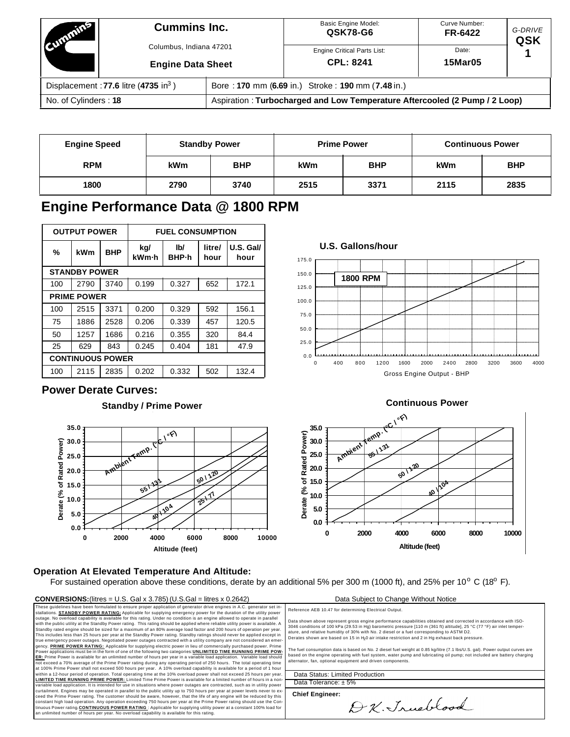| <b>MARITINE</b>                                | <b>Cummins Inc.</b><br>Columbus, Indiana 47201<br><b>Engine Data Sheet</b> |                                                                            | <b>Basic Engine Model:</b><br>QSK78-G6                 | Curve Number:<br>FR-6422 | G-DRIVE<br>QSK |  |
|------------------------------------------------|----------------------------------------------------------------------------|----------------------------------------------------------------------------|--------------------------------------------------------|--------------------------|----------------|--|
|                                                |                                                                            |                                                                            | <b>Engine Critical Parts List:</b><br><b>CPL: 8241</b> | Date:<br><b>15Mar05</b>  |                |  |
| Displacement: 77.6 litre $(4735 \text{ in}^3)$ |                                                                            | Bore: 170 mm (6.69 in.) Stroke: 190 mm (7.48 in.)                          |                                                        |                          |                |  |
| No. of Cylinders: 18                           |                                                                            | Aspiration: Turbocharged and Low Temperature Aftercooled (2 Pump / 2 Loop) |                                                        |                          |                |  |

| <b>Engine Speed</b> |            | <b>Standby Power</b> | <b>Prime Power</b> |            | <b>Continuous Power</b> |            |
|---------------------|------------|----------------------|--------------------|------------|-------------------------|------------|
| <b>RPM</b>          | <b>kWm</b> | <b>BHP</b>           | <b>kWm</b>         | <b>BHP</b> | <b>kWm</b>              | <b>BHP</b> |
| 1800                | 2790       | 3740                 | 2515               | 3371       | 2115                    | 2835       |

# **Engine Performance Data @ 1800 RPM**

| <b>OUTPUT POWER</b> |                         | <b>FUEL CONSUMPTION</b> |              |                      |                |                   |  |
|---------------------|-------------------------|-------------------------|--------------|----------------------|----------------|-------------------|--|
| %                   | kWm                     | <b>BHP</b>              | kg/<br>kWm-h | lb/<br><b>BHP</b> -h | litre/<br>hour | U.S. Gal/<br>hour |  |
|                     | <b>STANDBY POWER</b>    |                         |              |                      |                |                   |  |
| 100                 | 2790                    | 3740                    | 0.199        | 0.327                | 652            | 172.1             |  |
|                     | <b>PRIME POWER</b>      |                         |              |                      |                |                   |  |
| 100                 | 2515                    | 3371                    | 0.200        | 0.329                | 592            | 156.1             |  |
| 75                  | 1886                    | 2528                    | 0.206        | 0.339                | 457            | 120.5             |  |
| 50                  | 1257                    | 1686                    | 0.216        | 0.355                | 320            | 84.4              |  |
| 25                  | 629                     | 843                     | 0.245        | 0.404                | 181            | 47.9              |  |
|                     | <b>CONTINUOUS POWER</b> |                         |              |                      |                |                   |  |
| 100                 | 2115                    | 2835                    | 0.202        | 0.332                | 502            | 132.4             |  |

## **Power Derate Curves:**

## **Standby / Prime Power Standby / Prime Power**



## **Operation At Elevated Temperature And Altitude:**

For sustained operation above these conditions, derate by an additional 5% per 300 m (1000 ft), and 25% per 10<sup>o</sup> C (18<sup>o</sup> F).

### **CONVERSIONS:**(litres = U.S. Gal x 3.785) (U.S.Gal = litres x 0.2642) Data Subject to Change Without Notice

These guidelines have been formulated to ensure proper application of generator drive engines in A.C. generator set in-<br>stallations. **STANDBY POWER RATING:** Applicable for supplying emergency power for the duration of the outage. No overload capability is available for this rating. Under no condition is an engine allowed to operate in parallel<br>with the public utility at the Standby Power rating. This rating should be applied where reliable This includes less than 25 hours per year at the Standby Power rating. Standby ratings should never be applied except in<br>true emergency power outages. Negotiated power outages contracted with a utility company are not cons <u>ER:</u> Prime Power is available for an unlimited number of hours per year in a variable load application. Variable load should<br>not exceed a 70% average of the Prime Power rating during any operating period of 250 hours. The **LIMITED TIME RUNNING PRIME POWER:** Limited Time Prime Power is available for a limited number of hours in a non-<br>variable load application. It is intended for use in situations where power outages are contracted, such as ceed the Prime Power rating. The customer should be aware, however, that the life of any engine will be reduced by this constant high load operation. Any operation exceeding 750 hours per year at the Prime Power rating should use the Con-<br>tinuous Power rating.<u>CO**NTINUOUS POWER RATING** :</u> Applicable for supplying utility power at a constant







Reference AEB 10.47 for determining Electrical Output.

Data shown above represent gross engine performance capabilities obtained and corrected in accordance with ISO-<br>3046 conditions of 100 kPa (29.53 in Hg) barometric pressure [110 m (361 ft) altitude], 25 °C (77 °F) air inle Derates shown are based on 15 in  $\rm H_2$ 0 air intake restriction and 2 in  $\rm H$ g exhaust back pressure.

The fuel consumption data is based on No. 2 diesel fuel weight at 0.85 kg/litre (7.1 lbs/U.S. gal). Power output curves are based on the engine operating with fuel system, water pump and lubricating oil pump; not included are battery charging alternator, fan, optional equipment and driven components.

Data Status: Limited Production Data Tolerance: ± 5%

**Chief Engineer:**

D.K. Irusblood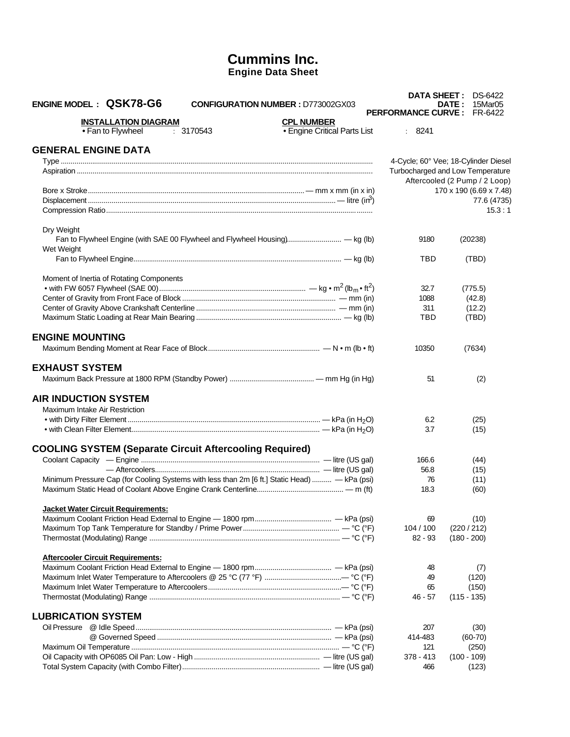## **Cummins Inc. Engine Data Sheet**

| ENGINE MODEL: QSK78-G6                                         | <b>CONFIGURATION NUMBER: D773002GX03</b>                                                      | <b>DATA SHEET :</b><br><b>PERFORMANCE CURVE:</b> | DS-6422<br>15Mar05<br>DATE:<br>FR-6422 |
|----------------------------------------------------------------|-----------------------------------------------------------------------------------------------|--------------------------------------------------|----------------------------------------|
| <b>INSTALLATION DIAGRAM</b>                                    | <b>CPL NUMBER</b>                                                                             |                                                  |                                        |
| • Fan to Flywheel                                              | • Engine Critical Parts List<br>: 3170543                                                     | : 8241                                           |                                        |
| <b>GENERAL ENGINE DATA</b>                                     |                                                                                               |                                                  |                                        |
|                                                                |                                                                                               |                                                  | 4-Cycle; 60° Vee; 18-Cylinder Diesel   |
|                                                                |                                                                                               |                                                  | Turbocharged and Low Temperature       |
|                                                                |                                                                                               |                                                  | Aftercooled (2 Pump / 2 Loop)          |
|                                                                |                                                                                               |                                                  | 170 x 190 (6.69 x 7.48)                |
|                                                                |                                                                                               |                                                  | 77.6 (4735)                            |
|                                                                |                                                                                               |                                                  | 15.3:1                                 |
|                                                                |                                                                                               |                                                  |                                        |
| Dry Weight                                                     |                                                                                               |                                                  |                                        |
|                                                                | Fan to Flywheel Engine (with SAE 00 Flywheel and Flywheel Housing) - kg (lb)                  | 9180                                             | (20238)                                |
| Wet Weight                                                     |                                                                                               |                                                  |                                        |
|                                                                |                                                                                               | TBD                                              | (TBD)                                  |
| Moment of Inertia of Rotating Components                       |                                                                                               |                                                  |                                        |
|                                                                |                                                                                               | 32.7                                             | (775.5)                                |
|                                                                |                                                                                               | 1088                                             | (42.8)                                 |
|                                                                |                                                                                               | 311                                              | (12.2)                                 |
|                                                                |                                                                                               | TBD                                              | (TBD)                                  |
|                                                                |                                                                                               |                                                  |                                        |
| <b>ENGINE MOUNTING</b>                                         |                                                                                               |                                                  |                                        |
|                                                                |                                                                                               | 10350                                            | (7634)                                 |
| <b>EXHAUST SYSTEM</b>                                          |                                                                                               |                                                  |                                        |
|                                                                |                                                                                               |                                                  |                                        |
|                                                                |                                                                                               | 51                                               | (2)                                    |
| <b>AIR INDUCTION SYSTEM</b>                                    |                                                                                               |                                                  |                                        |
| Maximum Intake Air Restriction                                 |                                                                                               |                                                  |                                        |
|                                                                |                                                                                               | 6.2                                              | (25)                                   |
|                                                                |                                                                                               | 3.7                                              | (15)                                   |
|                                                                |                                                                                               |                                                  |                                        |
| <b>COOLING SYSTEM (Separate Circuit Aftercooling Required)</b> |                                                                                               |                                                  |                                        |
|                                                                |                                                                                               | 166.6                                            | (44)                                   |
|                                                                |                                                                                               | 56.8                                             | (15)                                   |
|                                                                | Minimum Pressure Cap (for Cooling Systems with less than 2m [6 ft.] Static Head)  - kPa (psi) | 76                                               | (11)                                   |
|                                                                |                                                                                               | 18.3                                             | (60)                                   |
| <b>Jacket Water Circuit Requirements:</b>                      |                                                                                               |                                                  |                                        |
|                                                                |                                                                                               | 69                                               | (10)                                   |
|                                                                |                                                                                               | 104 / 100                                        | (220/212)                              |
|                                                                |                                                                                               | $82 - 93$                                        | $(180 - 200)$                          |
|                                                                |                                                                                               |                                                  |                                        |
| <b>Aftercooler Circuit Requirements:</b>                       |                                                                                               |                                                  |                                        |
|                                                                |                                                                                               | 48                                               | (7)                                    |
|                                                                |                                                                                               | 49                                               | (120)                                  |
|                                                                |                                                                                               | 65                                               | (150)                                  |
|                                                                |                                                                                               | $46 - 57$                                        | $(115 - 135)$                          |
|                                                                |                                                                                               |                                                  |                                        |
| <b>LUBRICATION SYSTEM</b>                                      |                                                                                               |                                                  |                                        |
|                                                                |                                                                                               | 207                                              | (30)                                   |
|                                                                |                                                                                               | 414-483                                          | $(60-70)$                              |
|                                                                |                                                                                               | 121                                              | (250)                                  |
|                                                                |                                                                                               | $378 - 413$                                      | $(100 - 109)$                          |
|                                                                |                                                                                               | 466                                              | (123)                                  |